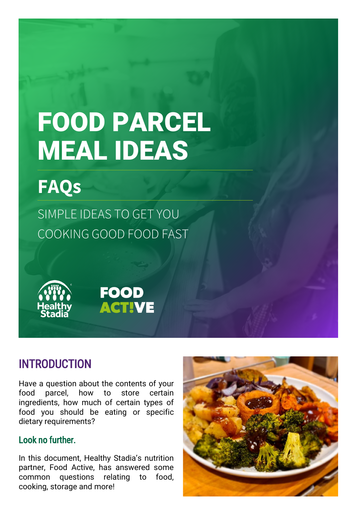# FOOD PARCEL MEAL IDEAS

## **FAQs**

SIMPLE IDEAS TO GET YOU COOKING GOOD FOOD FAST

**FOOD** 

**ACTIVE** 



#### INTRODUCTION

Have a question about the contents of your food parcel, how to store certain ingredients, how much of certain types of food you should be eating or specific dietary requirements?

#### Look no further.

In this document, Healthy Stadia's nutrition partner, Food Active, has answered some common questions relating to food, cooking, storage and more!

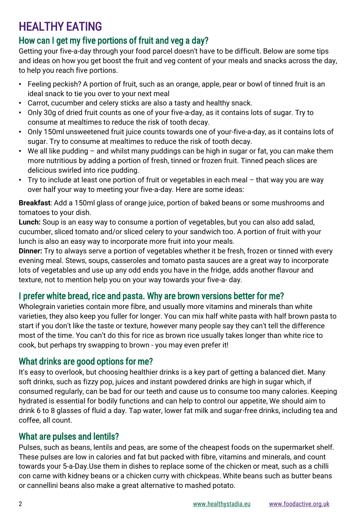## HEALTHY EATING

#### How can I get my five portions of fruit and veg a day?

Getting your five-a-day through your food parcel doesn't have to be difficult. Below are some tips and ideas on how you get boost the fruit and veg content of your meals and snacks across the day, to help you reach five portions.

- Feeling peckish? A portion of fruit, such as an orange, apple, pear or bowl of tinned fruit is an ideal snack to tie you over to your next meal
- Carrot, cucumber and celery sticks are also a tasty and healthy snack.
- Only 30g of dried fruit counts as one of your five-a-day, as it contains lots of sugar. Try to consume at mealtimes to reduce the risk of tooth decay.
- Only 150ml unsweetened fruit juice counts towards one of your-five-a-day, as it contains lots of sugar. Try to consume at mealtimes to reduce the risk of tooth decay.
- We all like pudding and whilst many puddings can be high in sugar or fat, you can make them more nutritious by adding a portion of fresh, tinned or frozen fruit. Tinned peach slices are delicious swirled into rice pudding.
- Try to include at least one portion of fruit or vegetables in each meal that way you are way over half your way to meeting your five-a-day. Here are some ideas:

**Breakfast**: Add a 150ml glass of orange juice, portion of baked beans or some mushrooms and tomatoes to your dish.

**Lunch:** Soup is an easy way to consume a portion of vegetables, but you can also add salad, cucumber, sliced tomato and/or sliced celery to your sandwich too. A portion of fruit with your lunch is also an easy way to incorporate more fruit into your meals.

**Dinner:** Try to always serve a portion of vegetables whether it be fresh, frozen or tinned with every evening meal. Stews, soups, casseroles and tomato pasta sauces are a great way to incorporate lots of vegetables and use up any odd ends you have in the fridge, adds another flavour and texture, not to mention help you on your way towards your five-a- day.

#### I prefer white bread, rice and pasta. Why are brown versions better for me?

Wholegrain varieties contain more fibre, and usually more vitamins and minerals than white varieties, they also keep you fuller for longer. You can mix half white pasta with half brown pasta to start if you don't like the taste or texture, however many people say they can't tell the difference most of the time. You can't do this for rice as brown rice usually takes longer than white rice to cook, but perhaps try swapping to brown - you may even prefer it!

#### What drinks are good options for me?

It's easy to overlook, but choosing healthier drinks is a key part of getting a balanced diet. Many soft drinks, such as fizzy pop, juices and instant powdered drinks are high in sugar which, if consumed regularly, can be bad for our teeth and cause us to consume too many calories. Keeping hydrated is essential for bodily functions and can help to control our appetite, We should aim to drink 6 to 8 glasses of fluid a day. Tap water, lower fat milk and sugar-free drinks, including tea and coffee, all count.

#### What are pulses and lentils?

Pulses, such as beans, lentils and peas, are some of the cheapest foods on the supermarket shelf. These pulses are low in calories and fat but packed with fibre, vitamins and minerals, and count towards your 5-a-Day.Use them in dishes to replace some of the chicken or meat, such as a chilli con carne with kidney beans or a chicken curry with chickpeas. White beans such as butter beans or cannellini beans also make a great alternative to mashed potato.